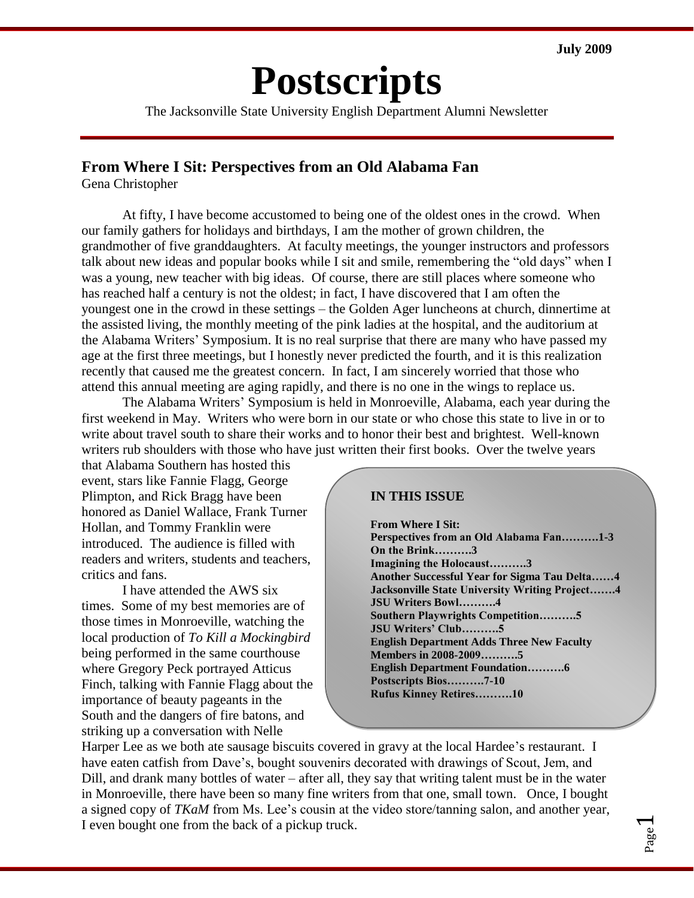# **Postscripts**

The Jacksonville State University English Department Alumni Newsletter

#### **From Where I Sit: Perspectives from an Old Alabama Fan**

Gena Christopher

At fifty, I have become accustomed to being one of the oldest ones in the crowd. When our family gathers for holidays and birthdays, I am the mother of grown children, the grandmother of five granddaughters. At faculty meetings, the younger instructors and professors talk about new ideas and popular books while I sit and smile, remembering the "old days" when I was a young, new teacher with big ideas. Of course, there are still places where someone who has reached half a century is not the oldest; in fact, I have discovered that I am often the youngest one in the crowd in these settings – the Golden Ager luncheons at church, dinnertime at the assisted living, the monthly meeting of the pink ladies at the hospital, and the auditorium at the Alabama Writers' Symposium. It is no real surprise that there are many who have passed my age at the first three meetings, but I honestly never predicted the fourth, and it is this realization recently that caused me the greatest concern. In fact, I am sincerely worried that those who attend this annual meeting are aging rapidly, and there is no one in the wings to replace us.

The Alabama Writers' Symposium is held in Monroeville, Alabama, each year during the first weekend in May. Writers who were born in our state or who chose this state to live in or to write about travel south to share their works and to honor their best and brightest. Well-known writers rub shoulders with those who have just written their first books. Over the twelve years

that Alabama Southern has hosted this event, stars like Fannie Flagg, George Plimpton, and Rick Bragg have been honored as Daniel Wallace, Frank Turner Hollan, and Tommy Franklin were introduced. The audience is filled with readers and writers, students and teachers, critics and fans.

I have attended the AWS six times. Some of my best memories are of those times in Monroeville, watching the local production of *To Kill a Mockingbird* being performed in the same courthouse where Gregory Peck portrayed Atticus Finch, talking with Fannie Flagg about the importance of beauty pageants in the South and the dangers of fire batons, and striking up a conversation with Nelle

#### **IN THIS ISSUE**

**From Where I Sit: Perspectives from an Old Alabama Fan……….1-3 On the Brink……….3 Imagining the Holocaust……….3 Another Successful Year for Sigma Tau Delta……4 Jacksonville State University Writing Project…….4 JSU Writers Bowl……….4 Southern Playwrights Competition……….5 JSU Writers' Club……….5 English Department Adds Three New Faculty Members in 2008-2009……….5 English Department Foundation……….6 Postscripts Bios……….7-10 Rufus Kinney Retires……….10**

Harper Lee as we both ate sausage biscuits covered in gravy at the local Hardee's restaurant. I have eaten catfish from Dave's, bought souvenirs decorated with drawings of Scout, Jem, and Dill, and drank many bottles of water – after all, they say that writing talent must be in the water in Monroeville, there have been so many fine writers from that one, small town. Once, I bought a signed copy of *TKaM* from Ms. Lee's cousin at the video store/tanning salon, and another year, I even bought one from the back of a pickup truck.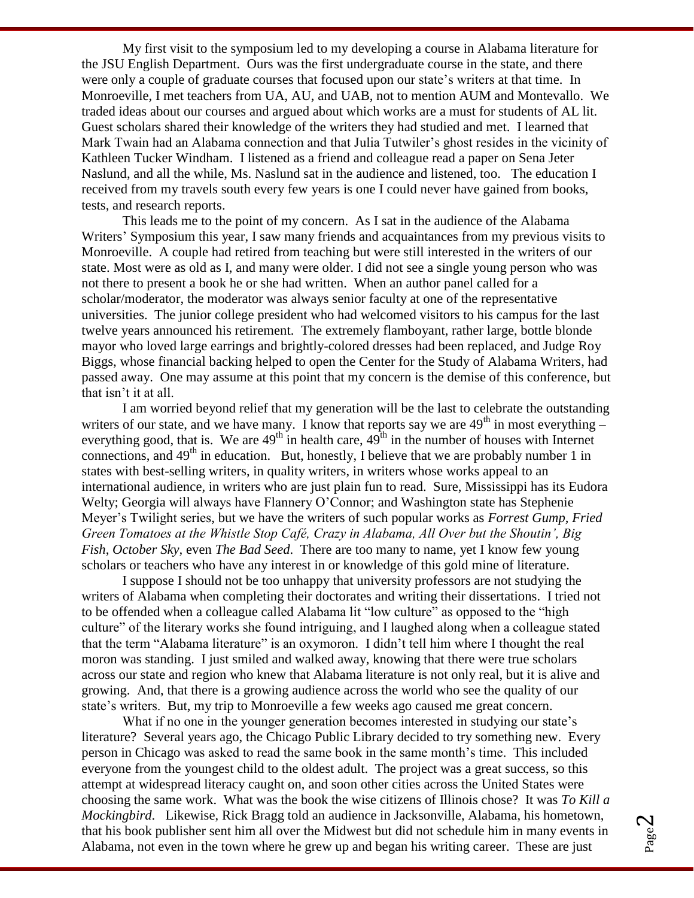My first visit to the symposium led to my developing a course in Alabama literature for the JSU English Department. Ours was the first undergraduate course in the state, and there were only a couple of graduate courses that focused upon our state's writers at that time. In Monroeville, I met teachers from UA, AU, and UAB, not to mention AUM and Montevallo. We traded ideas about our courses and argued about which works are a must for students of AL lit. Guest scholars shared their knowledge of the writers they had studied and met. I learned that Mark Twain had an Alabama connection and that Julia Tutwiler's ghost resides in the vicinity of Kathleen Tucker Windham. I listened as a friend and colleague read a paper on Sena Jeter Naslund, and all the while, Ms. Naslund sat in the audience and listened, too. The education I received from my travels south every few years is one I could never have gained from books, tests, and research reports.

This leads me to the point of my concern. As I sat in the audience of the Alabama Writers' Symposium this year, I saw many friends and acquaintances from my previous visits to Monroeville. A couple had retired from teaching but were still interested in the writers of our state. Most were as old as I, and many were older. I did not see a single young person who was not there to present a book he or she had written. When an author panel called for a scholar/moderator, the moderator was always senior faculty at one of the representative universities. The junior college president who had welcomed visitors to his campus for the last twelve years announced his retirement. The extremely flamboyant, rather large, bottle blonde mayor who loved large earrings and brightly-colored dresses had been replaced, and Judge Roy Biggs, whose financial backing helped to open the Center for the Study of Alabama Writers, had passed away. One may assume at this point that my concern is the demise of this conference, but that isn't it at all.

I am worried beyond relief that my generation will be the last to celebrate the outstanding writers of our state, and we have many. I know that reports say we are  $49<sup>th</sup>$  in most everything – everything good, that is. We are  $49<sup>th</sup>$  in health care,  $49<sup>th</sup>$  in the number of houses with Internet connections, and  $49<sup>th</sup>$  in education. But, honestly, I believe that we are probably number 1 in states with best-selling writers, in quality writers, in writers whose works appeal to an international audience, in writers who are just plain fun to read. Sure, Mississippi has its Eudora Welty; Georgia will always have Flannery O'Connor; and Washington state has Stephenie Meyer's Twilight series, but we have the writers of such popular works as *Forrest Gump, Fried Green Tomatoes at the Whistle Stop Café, Crazy in Alabama, All Over but the Shoutin', Big Fish*, *October Sky,* even *The Bad Seed*. There are too many to name, yet I know few young scholars or teachers who have any interest in or knowledge of this gold mine of literature.

I suppose I should not be too unhappy that university professors are not studying the writers of Alabama when completing their doctorates and writing their dissertations. I tried not to be offended when a colleague called Alabama lit "low culture" as opposed to the "high culture" of the literary works she found intriguing, and I laughed along when a colleague stated that the term "Alabama literature" is an oxymoron. I didn't tell him where I thought the real moron was standing. I just smiled and walked away, knowing that there were true scholars across our state and region who knew that Alabama literature is not only real, but it is alive and growing. And, that there is a growing audience across the world who see the quality of our state's writers. But, my trip to Monroeville a few weeks ago caused me great concern.

What if no one in the younger generation becomes interested in studying our state's literature? Several years ago, the Chicago Public Library decided to try something new. Every person in Chicago was asked to read the same book in the same month's time. This included everyone from the youngest child to the oldest adult. The project was a great success, so this attempt at widespread literacy caught on, and soon other cities across the United States were choosing the same work. What was the book the wise citizens of Illinois chose? It was *To Kill a Mockingbird*. Likewise, Rick Bragg told an audience in Jacksonville, Alabama, his hometown, that his book publisher sent him all over the Midwest but did not schedule him in many events in Alabama, not even in the town where he grew up and began his writing career. These are just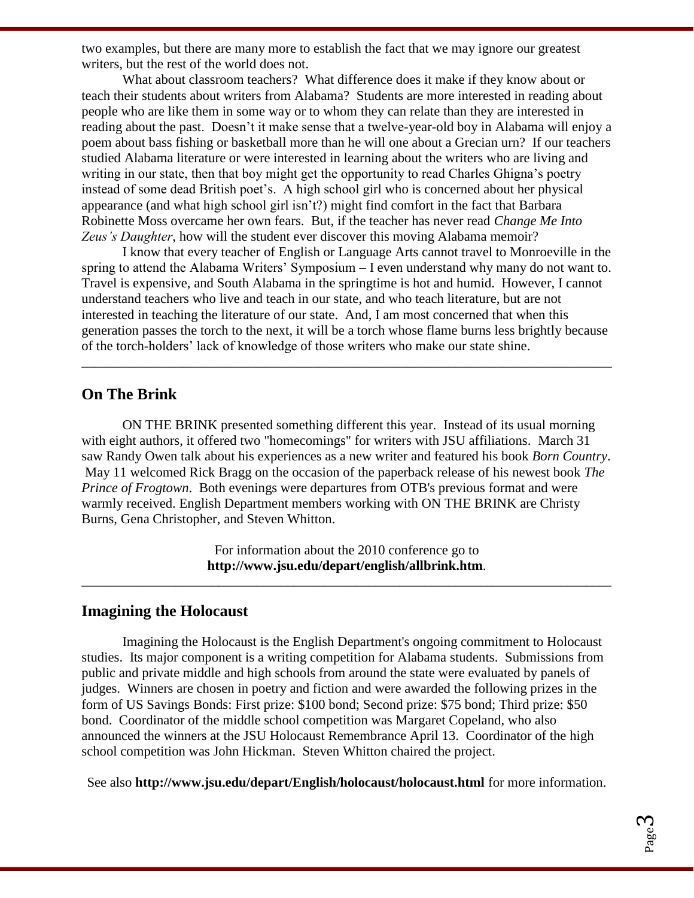two examples, but there are many more to establish the fact that we may ignore our greatest writers, but the rest of the world does not.

What about classroom teachers? What difference does it make if they know about or teach their students about writers from Alabama? Students are more interested in reading about people who are like them in some way or to whom they can relate than they are interested in reading about the past. Doesn't it make sense that a twelve-year-old boy in Alabama will enjoy a poem about bass fishing or basketball more than he will one about a Grecian urn? If our teachers studied Alabama literature or were interested in learning about the writers who are living and writing in our state, then that boy might get the opportunity to read Charles Ghigna's poetry instead of some dead British poet's. A high school girl who is concerned about her physical appearance (and what high school girl isn't?) might find comfort in the fact that Barbara Robinette Moss overcame her own fears. But, if the teacher has never read *Change Me Into Zeus's Daughter*, how will the student ever discover this moving Alabama memoir?

I know that every teacher of English or Language Arts cannot travel to Monroeville in the spring to attend the Alabama Writers' Symposium – I even understand why many do not want to. Travel is expensive, and South Alabama in the springtime is hot and humid. However, I cannot understand teachers who live and teach in our state, and who teach literature, but are not interested in teaching the literature of our state. And, I am most concerned that when this generation passes the torch to the next, it will be a torch whose flame burns less brightly because of the torch-holders' lack of knowledge of those writers who make our state shine.

\_\_\_\_\_\_\_\_\_\_\_\_\_\_\_\_\_\_\_\_\_\_\_\_\_\_\_\_\_\_\_\_\_\_\_\_\_\_\_\_\_\_\_\_\_\_\_\_\_\_\_\_\_\_\_\_\_\_\_\_\_\_\_\_\_\_\_\_\_\_\_\_\_\_\_\_\_\_

#### **On The Brink**

ON THE BRINK presented something different this year. Instead of its usual morning with eight authors, it offered two "homecomings" for writers with JSU affiliations. March 31 saw Randy Owen talk about his experiences as a new writer and featured his book *Born Country*. May 11 welcomed Rick Bragg on the occasion of the paperback release of his newest book *The Prince of Frogtown*. Both evenings were departures from OTB's previous format and were warmly received. English Department members working with ON THE BRINK are Christy Burns, Gena Christopher, and Steven Whitton.

> For information about the 2010 conference go to **http://www.jsu.edu/depart/english/allbrink.htm**.

\_\_\_\_\_\_\_\_\_\_\_\_\_\_\_\_\_\_\_\_\_\_\_\_\_\_\_\_\_\_\_\_\_\_\_\_\_\_\_\_\_\_\_\_\_\_\_\_\_\_\_\_\_\_\_\_\_\_\_\_\_\_\_\_\_\_\_\_\_\_\_\_\_\_\_\_\_\_\_\_\_\_\_\_\_

#### **Imagining the Holocaust**

Imagining the Holocaust is the English Department's ongoing commitment to Holocaust studies. Its major component is a writing competition for Alabama students. Submissions from public and private middle and high schools from around the state were evaluated by panels of judges. Winners are chosen in poetry and fiction and were awarded the following prizes in the form of US Savings Bonds: First prize: \$100 bond; Second prize: \$75 bond; Third prize: \$50 bond. Coordinator of the middle school competition was Margaret Copeland, who also announced the winners at the JSU Holocaust Remembrance April 13. Coordinator of the high school competition was John Hickman. Steven Whitton chaired the project.

See also **http://www.jsu.edu/depart/English/holocaust/holocaust.html** for more information.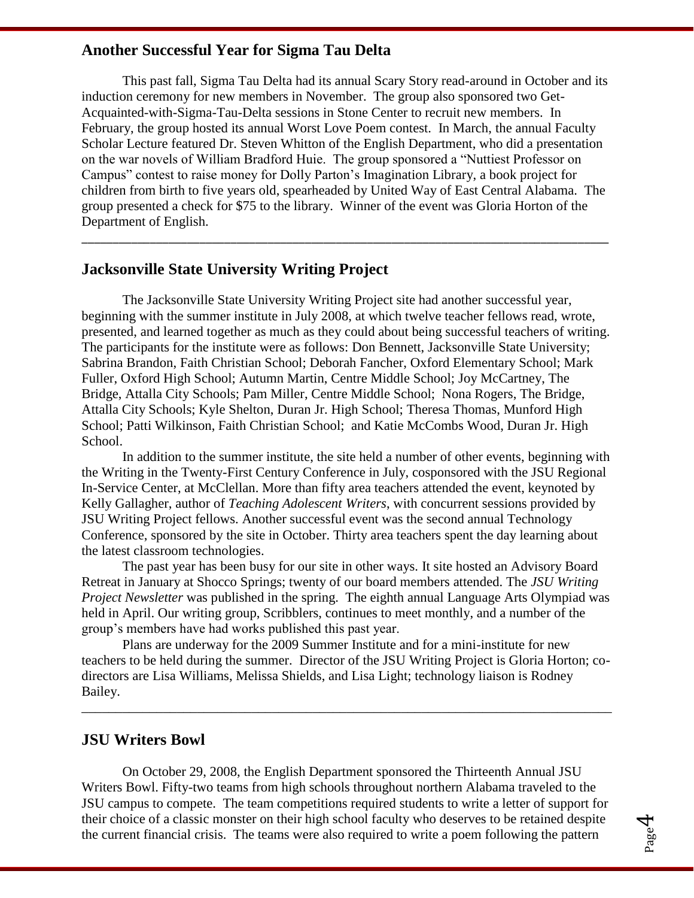#### **Another Successful Year for Sigma Tau Delta**

This past fall, Sigma Tau Delta had its annual Scary Story read-around in October and its induction ceremony for new members in November. The group also sponsored two Get-Acquainted-with-Sigma-Tau-Delta sessions in Stone Center to recruit new members. In February, the group hosted its annual Worst Love Poem contest. In March, the annual Faculty Scholar Lecture featured Dr. Steven Whitton of the English Department, who did a presentation on the war novels of William Bradford Huie. The group sponsored a "Nuttiest Professor on Campus" contest to raise money for Dolly Parton's Imagination Library, a book project for children from birth to five years old, spearheaded by United Way of East Central Alabama. The group presented a check for \$75 to the library. Winner of the event was Gloria Horton of the Department of English.

\_\_\_\_\_\_\_\_\_\_\_\_\_\_\_\_\_\_\_\_\_\_\_\_\_\_\_\_\_\_\_\_\_\_\_\_\_\_\_\_\_\_\_\_\_\_\_\_\_\_\_\_\_\_\_\_\_\_\_\_\_\_\_\_\_\_\_\_\_\_\_\_\_\_\_\_\_\_\_\_\_\_\_\_\_

#### **Jacksonville State University Writing Project**

The Jacksonville State University Writing Project site had another successful year, beginning with the summer institute in July 2008, at which twelve teacher fellows read, wrote, presented, and learned together as much as they could about being successful teachers of writing. The participants for the institute were as follows: Don Bennett, Jacksonville State University; Sabrina Brandon, Faith Christian School; Deborah Fancher, Oxford Elementary School; Mark Fuller, Oxford High School; Autumn Martin, Centre Middle School; Joy McCartney, The Bridge, Attalla City Schools; Pam Miller, Centre Middle School; Nona Rogers, The Bridge, Attalla City Schools; Kyle Shelton, Duran Jr. High School; Theresa Thomas, Munford High School; Patti Wilkinson, Faith Christian School; and Katie McCombs Wood, Duran Jr. High School.

In addition to the summer institute, the site held a number of other events, beginning with the Writing in the Twenty-First Century Conference in July, cosponsored with the JSU Regional In-Service Center, at McClellan. More than fifty area teachers attended the event, keynoted by Kelly Gallagher, author of *Teaching Adolescent Writers*, with concurrent sessions provided by JSU Writing Project fellows. Another successful event was the second annual Technology Conference, sponsored by the site in October. Thirty area teachers spent the day learning about the latest classroom technologies.

The past year has been busy for our site in other ways. It site hosted an Advisory Board Retreat in January at Shocco Springs; twenty of our board members attended. The *JSU Writing Project Newsletter* was published in the spring. The eighth annual Language Arts Olympiad was held in April. Our writing group, Scribblers, continues to meet monthly, and a number of the group's members have had works published this past year.

Plans are underway for the 2009 Summer Institute and for a mini-institute for new teachers to be held during the summer. Director of the JSU Writing Project is Gloria Horton; codirectors are Lisa Williams, Melissa Shields, and Lisa Light; technology liaison is Rodney Bailey.

\_\_\_\_\_\_\_\_\_\_\_\_\_\_\_\_\_\_\_\_\_\_\_\_\_\_\_\_\_\_\_\_\_\_\_\_\_\_\_\_\_\_\_\_\_\_\_\_\_\_\_\_\_\_\_\_\_\_\_\_\_\_\_\_\_\_\_\_\_\_\_\_\_\_\_\_\_\_

#### **JSU Writers Bowl**

On October 29, 2008, the English Department sponsored the Thirteenth Annual JSU Writers Bowl. Fifty-two teams from high schools throughout northern Alabama traveled to the JSU campus to compete. The team competitions required students to write a letter of support for their choice of a classic monster on their high school faculty who deserves to be retained despite the current financial crisis. The teams were also required to write a poem following the pattern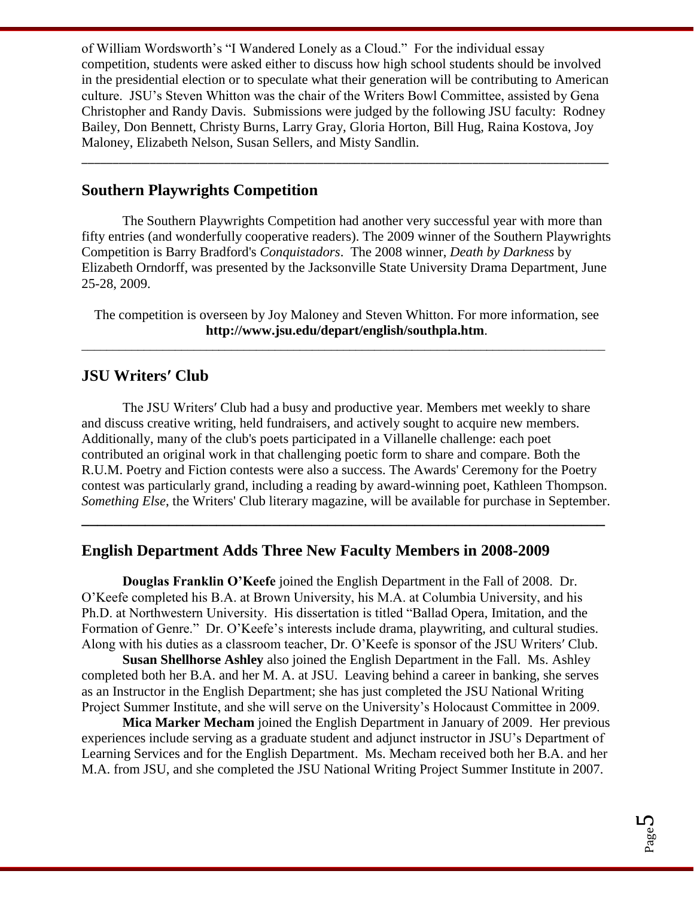of William Wordsworth's "I Wandered Lonely as a Cloud." For the individual essay competition, students were asked either to discuss how high school students should be involved in the presidential election or to speculate what their generation will be contributing to American culture. JSU's Steven Whitton was the chair of the Writers Bowl Committee, assisted by Gena Christopher and Randy Davis. Submissions were judged by the following JSU faculty: Rodney Bailey, Don Bennett, Christy Burns, Larry Gray, Gloria Horton, Bill Hug, Raina Kostova, Joy Maloney, Elizabeth Nelson, Susan Sellers, and Misty Sandlin.

\_\_\_\_\_\_\_\_\_\_\_\_\_\_\_\_\_\_\_\_\_\_\_\_\_\_\_\_\_\_\_\_\_\_\_\_\_\_\_\_\_\_\_\_\_\_\_\_\_\_\_\_\_\_\_\_\_\_\_\_\_\_\_\_\_\_\_\_\_\_\_\_\_\_\_\_\_\_\_\_\_\_\_\_\_

#### **Southern Playwrights Competition**

The Southern Playwrights Competition had another very successful year with more than fifty entries (and wonderfully cooperative readers). The 2009 winner of the Southern Playwrights Competition is Barry Bradford's *Conquistadors*. The 2008 winner, *Death by Darkness* by Elizabeth Orndorff, was presented by the Jacksonville State University Drama Department, June 25-28, 2009.

The competition is overseen by Joy Maloney and Steven Whitton. For more information, see **http://www.jsu.edu/depart/english/southpla.htm**.

\_\_\_\_\_\_\_\_\_\_\_\_\_\_\_\_\_\_\_\_\_\_\_\_\_\_\_\_\_\_\_\_\_\_\_\_\_\_\_\_\_\_\_\_\_\_\_\_\_\_\_\_\_\_\_\_\_\_\_\_\_\_\_\_\_\_\_\_\_\_\_\_\_\_\_\_\_\_\_\_\_\_\_\_

#### **JSU Writersʹ Club**

The JSU Writersʹ Club had a busy and productive year. Members met weekly to share and discuss creative writing, held fundraisers, and actively sought to acquire new members. Additionally, many of the club's poets participated in a Villanelle challenge: each poet contributed an original work in that challenging poetic form to share and compare. Both the R.U.M. Poetry and Fiction contests were also a success. The Awards' Ceremony for the Poetry contest was particularly grand, including a reading by award-winning poet, Kathleen Thompson. *Something Else*, the Writers' Club literary magazine, will be available for purchase in September.

**\_\_\_\_\_\_\_\_\_\_\_\_\_\_\_\_\_\_\_\_\_\_\_\_\_\_\_\_\_\_\_\_\_\_\_\_\_\_\_\_\_\_\_\_\_\_\_\_\_\_\_\_\_\_\_\_\_\_\_\_\_\_\_\_\_\_**

#### **English Department Adds Three New Faculty Members in 2008-2009**

**Douglas Franklin O'Keefe** joined the English Department in the Fall of 2008. Dr. O'Keefe completed his B.A. at Brown University, his M.A. at Columbia University, and his Ph.D. at Northwestern University. His dissertation is titled "Ballad Opera, Imitation, and the Formation of Genre." Dr. O'Keefe's interests include drama, playwriting, and cultural studies. Along with his duties as a classroom teacher, Dr. O'Keefe is sponsor of the JSU Writersʹ Club.

**Susan Shellhorse Ashley** also joined the English Department in the Fall. Ms. Ashley completed both her B.A. and her M. A. at JSU. Leaving behind a career in banking, she serves as an Instructor in the English Department; she has just completed the JSU National Writing Project Summer Institute, and she will serve on the University's Holocaust Committee in 2009.

**Mica Marker Mecham** joined the English Department in January of 2009. Her previous experiences include serving as a graduate student and adjunct instructor in JSU's Department of Learning Services and for the English Department. Ms. Mecham received both her B.A. and her M.A. from JSU, and she completed the JSU National Writing Project Summer Institute in 2007.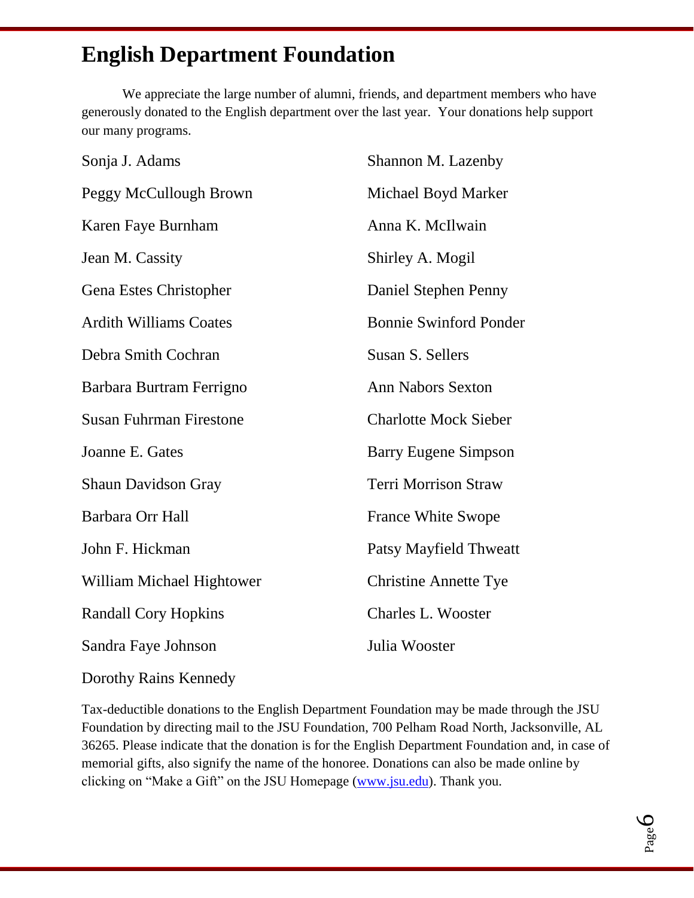## **English Department Foundation**

We appreciate the large number of alumni, friends, and department members who have generously donated to the English department over the last year. Your donations help support our many programs.

| Sonja J. Adams                 | Shannon M. Lazenby            |
|--------------------------------|-------------------------------|
| Peggy McCullough Brown         | Michael Boyd Marker           |
| Karen Faye Burnham             | Anna K. McIlwain              |
| Jean M. Cassity                | Shirley A. Mogil              |
| Gena Estes Christopher         | Daniel Stephen Penny          |
| <b>Ardith Williams Coates</b>  | <b>Bonnie Swinford Ponder</b> |
| Debra Smith Cochran            | Susan S. Sellers              |
| Barbara Burtram Ferrigno       | <b>Ann Nabors Sexton</b>      |
| <b>Susan Fuhrman Firestone</b> | <b>Charlotte Mock Sieber</b>  |
| Joanne E. Gates                | <b>Barry Eugene Simpson</b>   |
| <b>Shaun Davidson Gray</b>     | <b>Terri Morrison Straw</b>   |
| Barbara Orr Hall               | <b>France White Swope</b>     |
| John F. Hickman                | <b>Patsy Mayfield Thweatt</b> |
| William Michael Hightower      | <b>Christine Annette Tye</b>  |
| <b>Randall Cory Hopkins</b>    | <b>Charles L. Wooster</b>     |
| Sandra Faye Johnson            | Julia Wooster                 |
|                                |                               |

Dorothy Rains Kennedy

Tax-deductible donations to the English Department Foundation may be made through the JSU Foundation by directing mail to the JSU Foundation, 700 Pelham Road North, Jacksonville, AL 36265. Please indicate that the donation is for the English Department Foundation and, in case of memorial gifts, also signify the name of the honoree. Donations can also be made online by clicking on "Make a Gift" on the JSU Homepage [\(www.jsu.edu\)](http://www.jsu.edu/). Thank you.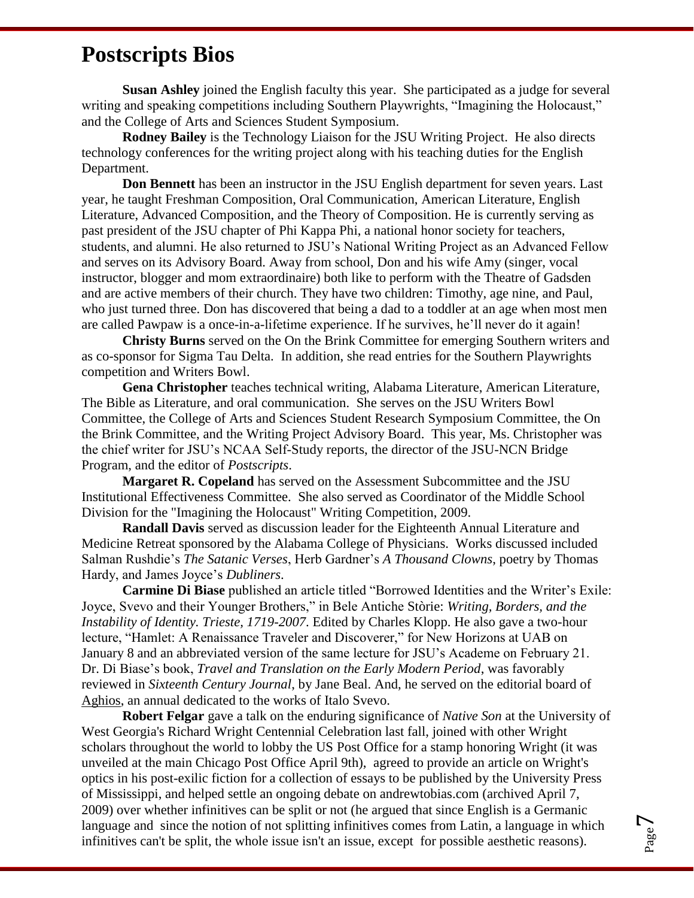### **Postscripts Bios**

**Susan Ashley** joined the English faculty this year. She participated as a judge for several writing and speaking competitions including Southern Playwrights, "Imagining the Holocaust," and the College of Arts and Sciences Student Symposium.

**Rodney Bailey** is the Technology Liaison for the JSU Writing Project. He also directs technology conferences for the writing project along with his teaching duties for the English Department.

**Don Bennett** has been an instructor in the JSU English department for seven years. Last year, he taught Freshman Composition, Oral Communication, American Literature, English Literature, Advanced Composition, and the Theory of Composition. He is currently serving as past president of the JSU chapter of Phi Kappa Phi, a national honor society for teachers, students, and alumni. He also returned to JSU's National Writing Project as an Advanced Fellow and serves on its Advisory Board. Away from school, Don and his wife Amy (singer, vocal instructor, blogger and mom extraordinaire) both like to perform with the Theatre of Gadsden and are active members of their church. They have two children: Timothy, age nine, and Paul, who just turned three. Don has discovered that being a dad to a toddler at an age when most men are called Pawpaw is a once-in-a-lifetime experience. If he survives, he'll never do it again!

**Christy Burns** served on the On the Brink Committee for emerging Southern writers and as co-sponsor for Sigma Tau Delta. In addition, she read entries for the Southern Playwrights competition and Writers Bowl.

**Gena Christopher** teaches technical writing, Alabama Literature, American Literature, The Bible as Literature, and oral communication. She serves on the JSU Writers Bowl Committee, the College of Arts and Sciences Student Research Symposium Committee, the On the Brink Committee, and the Writing Project Advisory Board. This year, Ms. Christopher was the chief writer for JSU's NCAA Self-Study reports, the director of the JSU-NCN Bridge Program, and the editor of *Postscripts*.

**Margaret R. Copeland** has served on the Assessment Subcommittee and the JSU Institutional Effectiveness Committee. She also served as Coordinator of the Middle School Division for the "Imagining the Holocaust" Writing Competition, 2009.

**Randall Davis** served as discussion leader for the Eighteenth Annual Literature and Medicine Retreat sponsored by the Alabama College of Physicians. Works discussed included Salman Rushdie's *The Satanic Verses*, Herb Gardner's *A Thousand Clowns*, poetry by Thomas Hardy, and James Joyce's *Dubliners*.

**Carmine Di Biase** published an article titled "Borrowed Identities and the Writer's Exile: Joyce, Svevo and their Younger Brothers," in Bele Antiche Stòrie: *Writing, Borders, and the Instability of Identity. Trieste, 1719-2007*. Edited by Charles Klopp. He also gave a two-hour lecture, "Hamlet: A Renaissance Traveler and Discoverer," for New Horizons at UAB on January 8 and an abbreviated version of the same lecture for JSU's Academe on February 21. Dr. Di Biase's book, *Travel and Translation on the Early Modern Period*, was favorably reviewed in *Sixteenth Century Journal*, by Jane Beal. And, he served on the editorial board of Aghios, an annual dedicated to the works of Italo Svevo.

**Robert Felgar** gave a talk on the enduring significance of *Native Son* at the University of West Georgia's Richard Wright Centennial Celebration last fall, joined with other Wright scholars throughout the world to lobby the US Post Office for a stamp honoring Wright (it was unveiled at the main Chicago Post Office April 9th), agreed to provide an article on Wright's optics in his post-exilic fiction for a collection of essays to be published by the University Press of Mississippi, and helped settle an ongoing debate on andrewtobias.com (archived April 7, 2009) over whether infinitives can be split or not (he argued that since English is a Germanic language and since the notion of not splitting infinitives comes from Latin, a language in which infinitives can't be split, the whole issue isn't an issue, except for possible aesthetic reasons).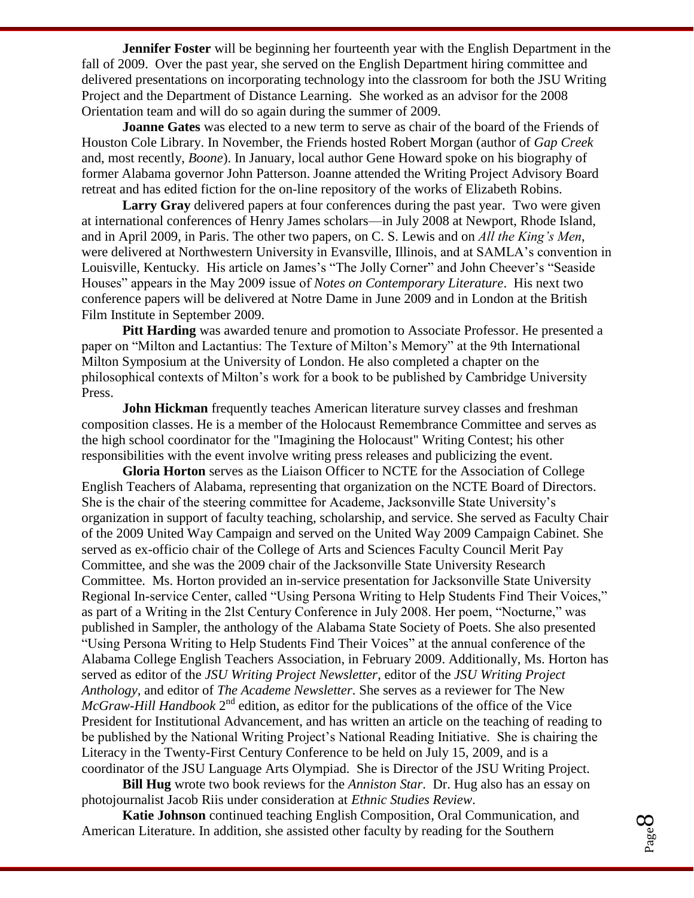**Jennifer Foster** will be beginning her fourteenth year with the English Department in the fall of 2009. Over the past year, she served on the English Department hiring committee and delivered presentations on incorporating technology into the classroom for both the JSU Writing Project and the Department of Distance Learning. She worked as an advisor for the 2008 Orientation team and will do so again during the summer of 2009.

**Joanne Gates** was elected to a new term to serve as chair of the board of the Friends of Houston Cole Library. In November, the Friends hosted Robert Morgan (author of *Gap Creek* and, most recently, *Boone*). In January, local author Gene Howard spoke on his biography of former Alabama governor John Patterson. Joanne attended the Writing Project Advisory Board retreat and has edited fiction for the on-line repository of the works of Elizabeth Robins.

Larry Gray delivered papers at four conferences during the past year. Two were given at international conferences of Henry James scholars—in July 2008 at Newport, Rhode Island, and in April 2009, in Paris. The other two papers, on C. S. Lewis and on *All the King's Men*, were delivered at Northwestern University in Evansville, Illinois, and at SAMLA's convention in Louisville, Kentucky. His article on James's "The Jolly Corner" and John Cheever's "Seaside Houses‖ appears in the May 2009 issue of *Notes on Contemporary Literature*. His next two conference papers will be delivered at Notre Dame in June 2009 and in London at the British Film Institute in September 2009.

**Pitt Harding** was awarded tenure and promotion to Associate Professor. He presented a paper on "Milton and Lactantius: The Texture of Milton's Memory" at the 9th International Milton Symposium at the University of London. He also completed a chapter on the philosophical contexts of Milton's work for a book to be published by Cambridge University Press.

**John Hickman** frequently teaches American literature survey classes and freshman composition classes. He is a member of the Holocaust Remembrance Committee and serves as the high school coordinator for the "Imagining the Holocaust" Writing Contest; his other responsibilities with the event involve writing press releases and publicizing the event.

**Gloria Horton** serves as the Liaison Officer to NCTE for the Association of College English Teachers of Alabama, representing that organization on the NCTE Board of Directors. She is the chair of the steering committee for Academe, Jacksonville State University's organization in support of faculty teaching, scholarship, and service. She served as Faculty Chair of the 2009 United Way Campaign and served on the United Way 2009 Campaign Cabinet. She served as ex-officio chair of the College of Arts and Sciences Faculty Council Merit Pay Committee, and she was the 2009 chair of the Jacksonville State University Research Committee. Ms. Horton provided an in-service presentation for Jacksonville State University Regional In-service Center, called "Using Persona Writing to Help Students Find Their Voices," as part of a Writing in the 21st Century Conference in July 2008. Her poem, "Nocturne," was published in Sampler, the anthology of the Alabama State Society of Poets. She also presented ―Using Persona Writing to Help Students Find Their Voices‖ at the annual conference of the Alabama College English Teachers Association, in February 2009. Additionally, Ms. Horton has served as editor of the *JSU Writing Project Newsletter*, editor of the *JSU Writing Project Anthology,* and editor of *The Academe Newsletter*. She serves as a reviewer for The New  $McGraw-Hill$  Handbook  $2<sup>nd</sup>$  edition, as editor for the publications of the office of the Vice President for Institutional Advancement, and has written an article on the teaching of reading to be published by the National Writing Project's National Reading Initiative. She is chairing the Literacy in the Twenty-First Century Conference to be held on July 15, 2009, and is a coordinator of the JSU Language Arts Olympiad. She is Director of the JSU Writing Project.

**Bill Hug** wrote two book reviews for the *Anniston Star*. Dr. Hug also has an essay on photojournalist Jacob Riis under consideration at *Ethnic Studies Review*.

**Katie Johnson** continued teaching English Composition, Oral Communication, and American Literature. In addition, she assisted other faculty by reading for the Southern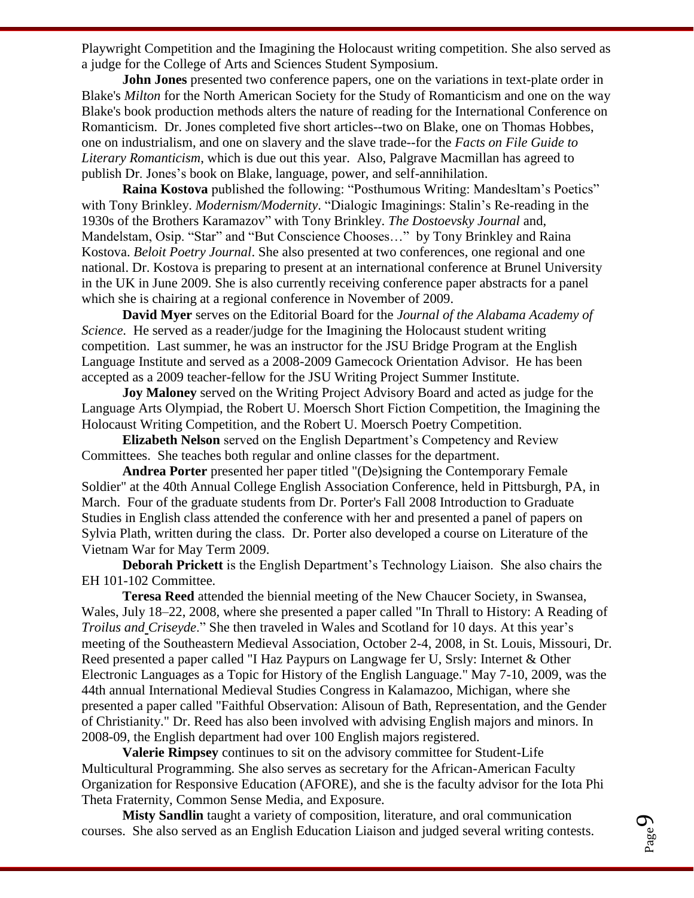Playwright Competition and the Imagining the Holocaust writing competition. She also served as a judge for the College of Arts and Sciences Student Symposium.

**John Jones** presented two conference papers, one on the variations in text-plate order in Blake's *Milton* for the North American Society for the Study of Romanticism and one on the way Blake's book production methods alters the nature of reading for the International Conference on Romanticism. Dr. Jones completed five short articles--two on Blake, one on Thomas Hobbes, one on industrialism, and one on slavery and the slave trade--for the *Facts on File Guide to Literary Romanticism*, which is due out this year. Also, Palgrave Macmillan has agreed to publish Dr. Jones's book on Blake, language, power, and self-annihilation.

**Raina Kostova** published the following: "Posthumous Writing: Mandesltam's Poetics" with Tony Brinkley. *Modernism/Modernity*. "Dialogic Imaginings: Stalin's Re-reading in the 1930s of the Brothers Karamazov" with Tony Brinkley. *The Dostoevsky Journal* and, Mandelstam, Osip. "Star" and "But Conscience Chooses..." by Tony Brinkley and Raina Kostova. *Beloit Poetry Journal*. She also presented at two conferences, one regional and one national. Dr. Kostova is preparing to present at an international conference at Brunel University in the UK in June 2009. She is also currently receiving conference paper abstracts for a panel which she is chairing at a regional conference in November of 2009.

**David Myer** serves on the Editorial Board for the *Journal of the Alabama Academy of Science*. He served as a reader/judge for the Imagining the Holocaust student writing competition. Last summer, he was an instructor for the JSU Bridge Program at the English Language Institute and served as a 2008-2009 Gamecock Orientation Advisor. He has been accepted as a 2009 teacher-fellow for the JSU Writing Project Summer Institute.

**Joy Maloney** served on the Writing Project Advisory Board and acted as judge for the Language Arts Olympiad, the Robert U. Moersch Short Fiction Competition, the Imagining the Holocaust Writing Competition, and the Robert U. Moersch Poetry Competition.

**Elizabeth Nelson** served on the English Department's Competency and Review Committees. She teaches both regular and online classes for the department.

**Andrea Porter** presented her paper titled "(De)signing the Contemporary Female Soldier" at the 40th Annual College English Association Conference, held in Pittsburgh, PA, in March. Four of the graduate students from Dr. Porter's Fall 2008 Introduction to Graduate Studies in English class attended the conference with her and presented a panel of papers on Sylvia Plath, written during the class. Dr. Porter also developed a course on Literature of the Vietnam War for May Term 2009.

**Deborah Prickett** is the English Department's Technology Liaison. She also chairs the EH 101-102 Committee.

**Teresa Reed** attended the biennial meeting of the New Chaucer Society, in Swansea, Wales, July 18–22, 2008, where she presented a paper called "In Thrall to History: A Reading of *Troilus and Criseyde.*" She then traveled in Wales and Scotland for 10 days. At this year's meeting of the Southeastern Medieval Association, October 2-4, 2008, in St. Louis, Missouri, Dr. Reed presented a paper called "I Haz Paypurs on Langwage fer U, Srsly: Internet & Other Electronic Languages as a Topic for History of the English Language." May 7-10, 2009, was the 44th annual International Medieval Studies Congress in Kalamazoo, Michigan, where she presented a paper called "Faithful Observation: Alisoun of Bath, Representation, and the Gender of Christianity." Dr. Reed has also been involved with advising English majors and minors. In 2008-09, the English department had over 100 English majors registered.

**Valerie Rimpsey** continues to sit on the advisory committee for Student-Life Multicultural Programming. She also serves as secretary for the African-American Faculty Organization for Responsive Education (AFORE), and she is the faculty advisor for the Iota Phi Theta Fraternity, Common Sense Media, and Exposure.

**Misty Sandlin** taught a variety of composition, literature, and oral communication courses. She also served as an English Education Liaison and judged several writing contests.